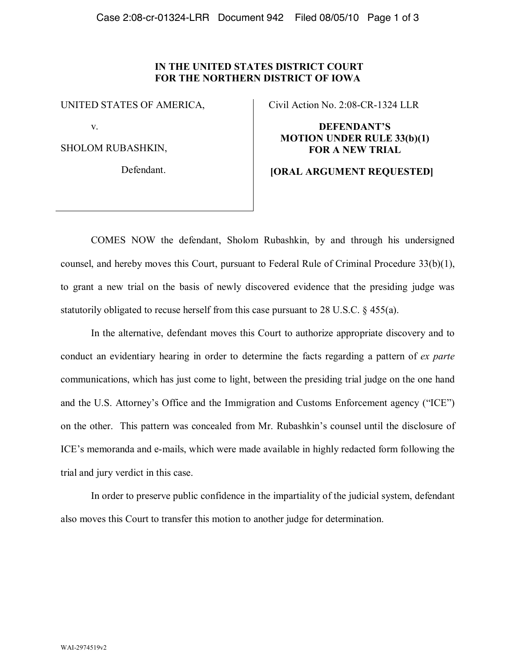## **IN THE UNITED STATES DISTRICT COURT FOR THE NORTHERN DISTRICT OF IOWA**

UNITED STATES OF AMERICA,

v.

SHOLOM RUBASHKIN,

Defendant.

Civil Action No. 2:08-CR-1324 LLR

**DEFENDANT'S MOTION UNDER RULE 33(b)(1) FOR A NEW TRIAL**

## **[ORAL ARGUMENT REQUESTED]**

COMES NOW the defendant, Sholom Rubashkin, by and through his undersigned counsel, and hereby moves this Court, pursuant to Federal Rule of Criminal Procedure 33(b)(1), to grant a new trial on the basis of newly discovered evidence that the presiding judge was statutorily obligated to recuse herself from this case pursuant to 28 U.S.C.  $\S$  455(a).

In the alternative, defendant moves this Court to authorize appropriate discovery and to conduct an evidentiary hearing in order to determine the facts regarding a pattern of *ex parte* communications, which has just come to light, between the presiding trial judge on the one hand and the U.S. Attorney's Office and the Immigration and Customs Enforcement agency ("ICE") on the other. This pattern was concealed from Mr. Rubashkin's counsel until the disclosure of ICE's memoranda and e-mails, which were made available in highly redacted form following the trial and jury verdict in this case.

In order to preserve public confidence in the impartiality of the judicial system, defendant also moves this Court to transfer this motion to another judge for determination.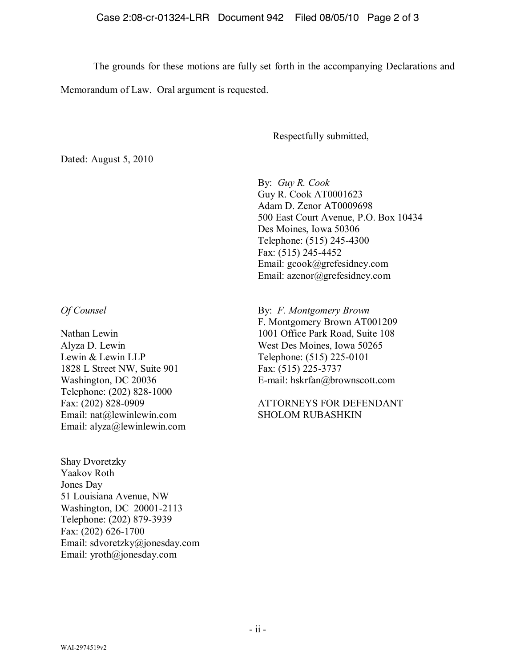The grounds for these motions are fully set forth in the accompanying Declarations and

Memorandum of Law. Oral argument is requested.

## Respectfully submitted,

Dated: August 5, 2010

By: *Guy R. Cook* 

Guy R. Cook AT0001623 Adam D. Zenor AT0009698 500 East Court Avenue, P.O. Box 10434 Des Moines, Iowa 50306 Telephone: (515) 245-4300 Fax: (515) 245-4452 Email: gcook@grefesidney.com Email: azenor@grefesidney.com

*Of Counsel*

Nathan Lewin Alyza D. Lewin Lewin & Lewin LLP 1828 L Street NW, Suite 901 Washington, DC 20036 Telephone: (202) 828-1000 Fax: (202) 828-0909 Email: nat@lewinlewin.com Email: alyza@lewinlewin.com

Shay Dvoretzky Yaakov Roth Jones Day 51 Louisiana Avenue, NW Washington, DC 20001-2113 Telephone: (202) 879-3939 Fax: (202) 626-1700 Email: sdvoretzky@jonesday.com Email: yroth@jonesday.com

By: *F. Montgomery Brown* F. Montgomery Brown AT001209

1001 Office Park Road, Suite 108 West Des Moines, Iowa 50265 Telephone: (515) 225-0101 Fax: (515) 225-3737 E-mail: hskrfan@brownscott.com

ATTORNEYS FOR DEFENDANT SHOLOM RUBASHKIN